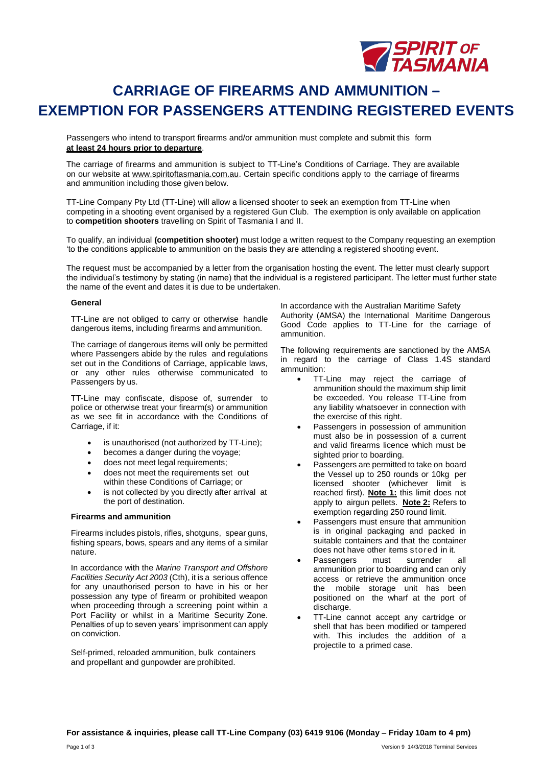

### **CARRIAGE OF FIREARMS AND AMMUNITION – EXEMPTION FOR PASSENGERS ATTENDING REGISTERED EVENTS**

Passengers who intend to transport firearms and/or ammunition must complete and submit this form **at least 24 hours prior to departure**.

The carriage of firearms and ammunition is subject to TT-Line's Conditions of Carriage. They are available on our website at [www.spiritoftasmania.com.au.](http://www.spiritoftasmania.com.au/) Certain specific conditions apply to the carriage of firearms and ammunition including those given below.

TT-Line Company Pty Ltd (TT-Line) will allow a licensed shooter to seek an exemption from TT-Line when competing in a shooting event organised by a registered Gun Club. The exemption is only available on application to **competition shooters** travelling on Spirit of Tasmania I and II.

To qualify, an individual **(competition shooter)** must lodge a written request to the Company requesting an exemption 'to the conditions applicable to ammunition on the basis they are attending a registered shooting event.

The request must be accompanied by a letter from the organisation hosting the event. The letter must clearly support the individual's testimony by stating (in name) that the individual is a registered participant. The letter must further state the name of the event and dates it is due to be undertaken.

#### **General**

TT-Line are not obliged to carry or otherwise handle dangerous items, including firearms and ammunition.

The carriage of dangerous items will only be permitted where Passengers abide by the rules and regulations set out in the Conditions of Carriage, applicable laws, or any other rules otherwise communicated to Passengers by us.

TT-Line may confiscate, dispose of, surrender to police or otherwise treat your firearm(s) or ammunition as we see fit in accordance with the Conditions of Carriage, if it:

- is unauthorised (not authorized by TT-Line);
- becomes a danger during the voyage;
- does not meet legal requirements;
- does not meet the requirements set out within these Conditions of Carriage; or
- is not collected by you directly after arrival at the port of destination.

#### **Firearms and ammunition**

Firearms includes pistols, rifles, shotguns, spear guns, fishing spears, bows, spears and any items of a similar nature.

In accordance with the *Marine Transport and Offshore Facilities Security Act 2003* (Cth), it is a serious offence for any unauthorised person to have in his or her possession any type of firearm or prohibited weapon when proceeding through a screening point within a Port Facility or whilst in a Maritime Security Zone. Penalties of up to seven years' imprisonment can apply on conviction.

Self-primed, reloaded ammunition, bulk containers and propellant and gunpowder are prohibited.

In accordance with the Australian Maritime Safety Authority (AMSA) the International Maritime Dangerous Good Code applies to TT-Line for the carriage of ammunition.

The following requirements are sanctioned by the AMSA in regard to the carriage of Class 1.4S standard ammunition:

- TT-Line may reject the carriage of ammunition should the maximum ship limit be exceeded. You release TT-Line from any liability whatsoever in connection with the exercise of this right.
- Passengers in possession of ammunition must also be in possession of a current and valid firearms licence which must be sighted prior to boarding.
- Passengers are permitted to take on board the Vessel up to 250 rounds or 10kg per licensed shooter (whichever limit is reached first). **Note 1:** this limit does not apply to airgun pellets. **Note 2:** Refers to exemption regarding 250 round limit.
- Passengers must ensure that ammunition is in original packaging and packed in suitable containers and that the container does not have other items stored in it.
- Passengers must surrender all ammunition prior to boarding and can only access or retrieve the ammunition once the mobile storage unit has been positioned on the wharf at the port of discharge.
- TT-Line cannot accept any cartridge or shell that has been modified or tampered with. This includes the addition of a projectile to a primed case.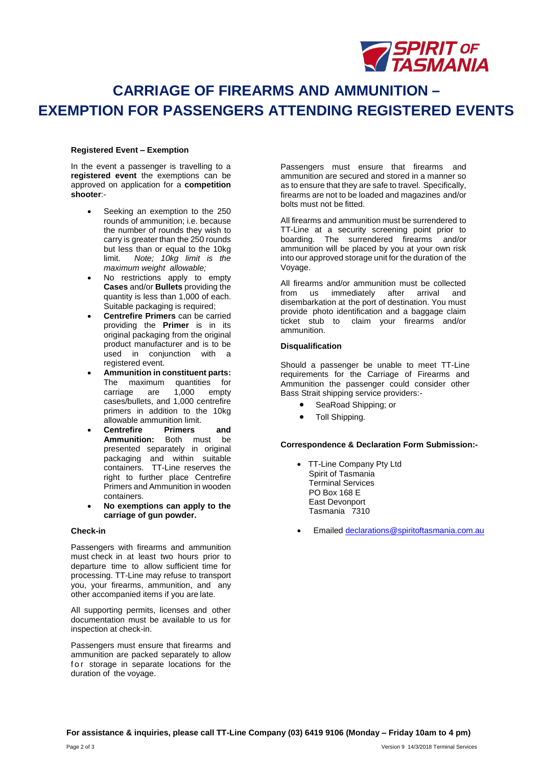

# **CARRIAGE OF FIREARMS AND AMMUNITION – EXEMPTION FOR PASSENGERS ATTENDING REGISTERED EVENTS**

#### **Registered Event – Exemption**

In the event a passenger is travelling to a **registered event** the exemptions can be approved on application for a **competition shooter**:-

- Seeking an exemption to the 250 rounds of ammunition; i.e. because the number of rounds they wish to carry is greater than the 250 rounds but less than or equal to the 10kg<br>limit. Note: 10kg limit is the Note; 10kg limit is the *maximum weight allowable;*
- No restrictions apply to empty **Cases** and/or **Bullets** providing the quantity is less than 1,000 of each. Suitable packaging is required;
- **Centrefire Primers** can be carried providing the **Primer** is in its original packaging from the original product manufacturer and is to be used in conjunction with a registered event.
- **Ammunition in constituent parts:**  The maximum quantities for<br>carriage are 1,000 empty carriage are 1,000 empty cases/bullets, and 1,000 centrefire primers in addition to the 10kg allowable ammunition limit.
- **Centrefire Primers and Ammunition:** Both must be presented separately in original packaging and within suitable containers. TT-Line reserves the right to further place Centrefire Primers and Ammunition in wooden containers.
- **No exemptions can apply to the carriage of gun powder.**

#### **Check-in**

Passengers with firearms and ammunition must check in at least two hours prior to departure time to allow sufficient time for processing. TT-Line may refuse to transport you, your firearms, ammunition, and any other accompanied items if you are late.

All supporting permits, licenses and other documentation must be available to us for inspection at check-in.

Passengers must ensure that firearms and ammunition are packed separately to allow for storage in separate locations for the duration of the voyage.

Passengers must ensure that firearms and ammunition are secured and stored in a manner so as to ensure that they are safe to travel. Specifically, firearms are not to be loaded and magazines and/or bolts must not be fitted.

All firearms and ammunition must be surrendered to TT-Line at a security screening point prior to boarding. The surrendered firearms and/or ammunition will be placed by you at your own risk into our approved storage unit for the duration of the Voyage.

All firearms and/or ammunition must be collected from us immediately after arrival and disembarkation at the port of destination. You must provide photo identification and a baggage claim ticket stub to claim your firearms and/or ammunition.

#### **Disqualification**

Should a passenger be unable to meet TT-Line requirements for the Carriage of Firearms and Ammunition the passenger could consider other Bass Strait shipping service providers:-

- SeaRoad Shipping; or
- Toll Shipping.

#### **Correspondence & Declaration Form Submission:-**

- TT-Line Company Pty Ltd Spirit of Tasmania Terminal Services PO Box 168 E East Devonport Tasmania 7310
- Emaile[d declarations@spiritoftasmania.com.au](mailto:declarations@spiritoftasmania.com.au)